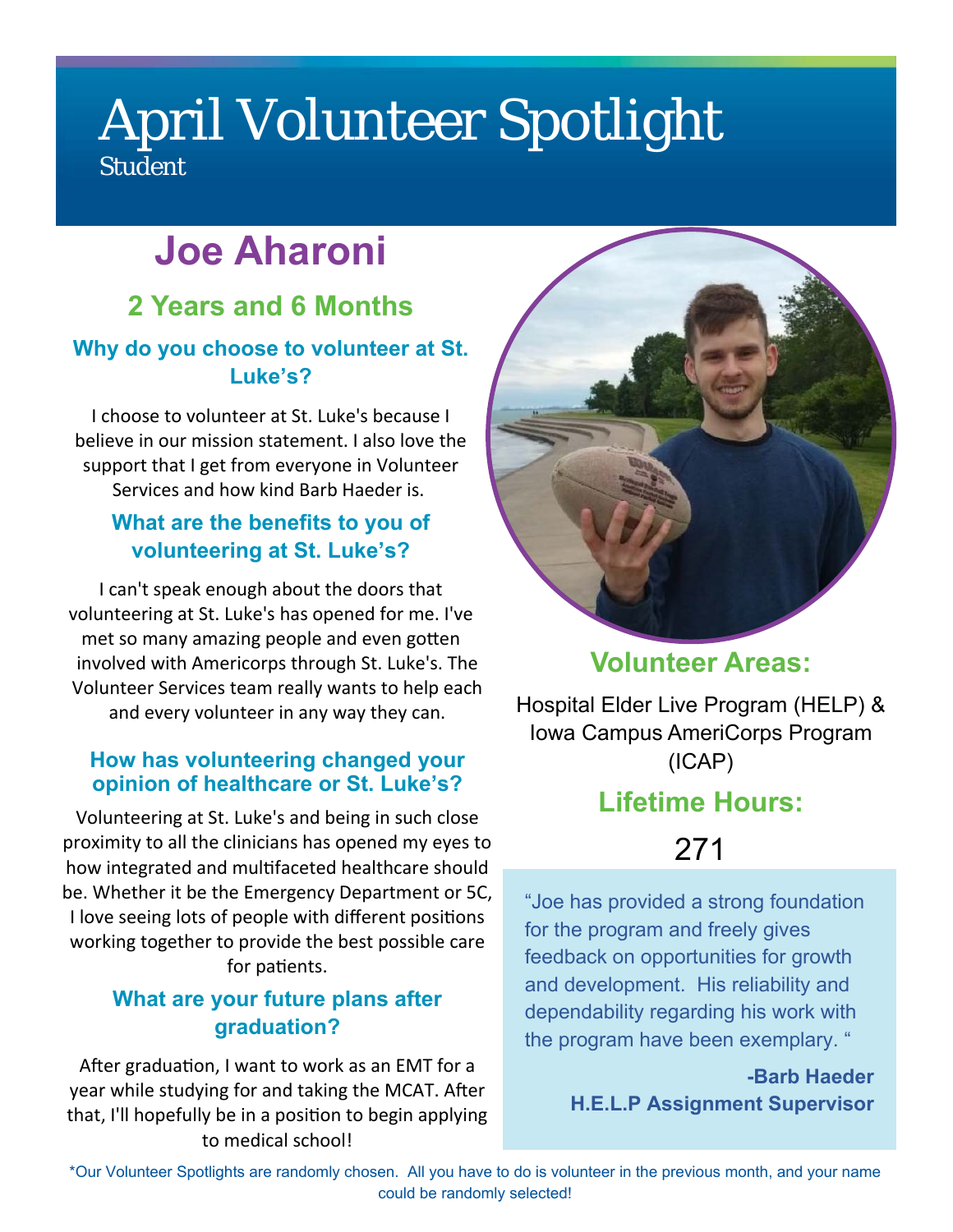# April Volunteer Spotlight **Student**

# **Joe Aharoni**

### **2 Years and 6 Months Why do you choose to volunteer at St.**

#### **Luke's?**

I choose to volunteer at St. Luke's because I believe in our mission statement. I also love the support that I get from everyone in Volunteer Services and how kind Barb Haeder is.

#### **What are the benefits to you of volunteering at St. Luke's?**

I can't speak enough about the doors that volunteering at St. Luke's has opened for me. I've met so many amazing people and even gotten involved with Americorps through St. Luke's. The Volunteer Services team really wants to help each and every volunteer in any way they can.

#### **How has volunteering changed your opinion of healthcare or St. Luke's?**

Volunteering at St. Luke's and being in such close proximity to all the clinicians has opened my eyes to how integrated and multifaceted healthcare should be. Whether it be the Emergency Department or 5C, I love seeing lots of people with different positions working together to provide the best possible care for patients.

#### **What are your future plans after graduation?**

After graduation, I want to work as an EMT for a year while studying for and taking the MCAT. After that, I'll hopefully be in a position to begin applying to medical school!



**Volunteer Areas:** 

Hospital Elder Live Program (HELP) & Iowa Campus AmeriCorps Program (ICAP)

### **Lifetime Hours:**

## 271

"Joe has provided a strong foundation for the program and freely gives feedback on opportunities for growth and development. His reliability and dependability regarding his work with the program have been exemplary. "

> **-Barb Haeder H.E.L.P Assignment Supervisor**

\*Our Volunteer Spotlights are randomly chosen. All you have to do is volunteer in the previous month, and your name could be randomly selected!